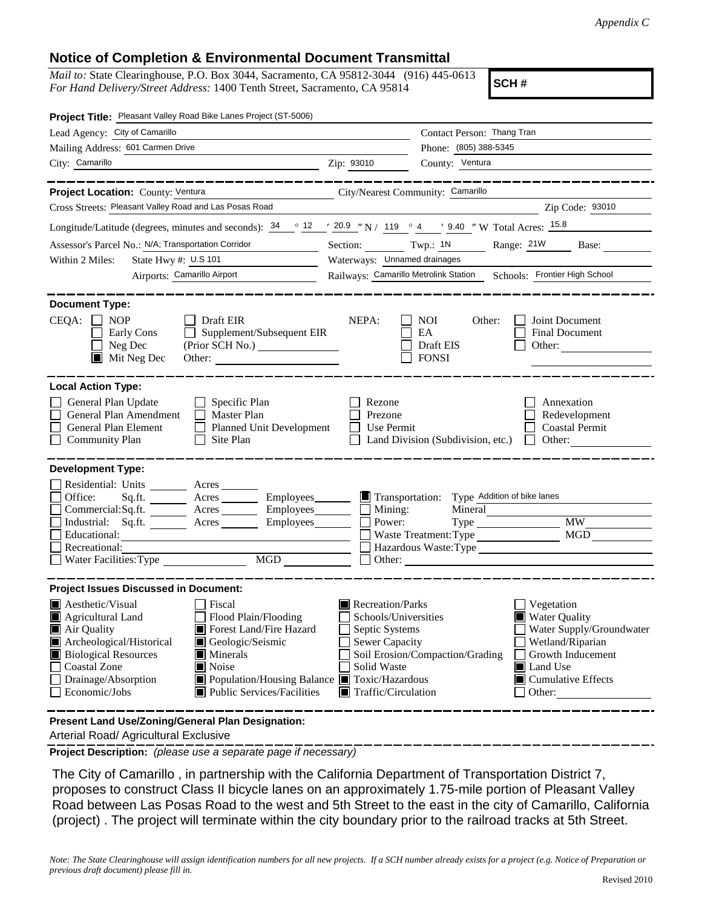## **Notice of Completion & Environmental Document Transmittal**

*Mail to:* State Clearinghouse, P.O. Box 3044, Sacramento, CA 95812-3044 (916) 445-0613 *For Hand Delivery/Street Address:* 1400 Tenth Street, Sacramento, CA 95814

**SCH #**

| Project Title: Pleasant Valley Road Bike Lanes Project (ST-5006)                                                                                                                                                                                                                                                                                                         |                                                                                                                                                                             |                                                                                                                                                                             |  |
|--------------------------------------------------------------------------------------------------------------------------------------------------------------------------------------------------------------------------------------------------------------------------------------------------------------------------------------------------------------------------|-----------------------------------------------------------------------------------------------------------------------------------------------------------------------------|-----------------------------------------------------------------------------------------------------------------------------------------------------------------------------|--|
| Lead Agency: City of Camarillo                                                                                                                                                                                                                                                                                                                                           |                                                                                                                                                                             | Contact Person: Thang Tran                                                                                                                                                  |  |
| Mailing Address: 601 Carmen Drive                                                                                                                                                                                                                                                                                                                                        | Phone: (805) 388-5345                                                                                                                                                       |                                                                                                                                                                             |  |
| City: Camarillo                                                                                                                                                                                                                                                                                                                                                          | County: Ventura<br>Zip: 93010                                                                                                                                               |                                                                                                                                                                             |  |
|                                                                                                                                                                                                                                                                                                                                                                          |                                                                                                                                                                             |                                                                                                                                                                             |  |
| Project Location: County: Ventura                                                                                                                                                                                                                                                                                                                                        | City/Nearest Community: Camarillo                                                                                                                                           |                                                                                                                                                                             |  |
| Cross Streets: Pleasant Valley Road and Las Posas Road                                                                                                                                                                                                                                                                                                                   |                                                                                                                                                                             | Zip Code: 93010                                                                                                                                                             |  |
| Longitude/Latitude (degrees, minutes and seconds): $34 \degree$ 12 $\degree$ 20.9 " N / 119 $\degree$ 4 $\degree$ 9.40 " W Total Acres: 15.8                                                                                                                                                                                                                             |                                                                                                                                                                             |                                                                                                                                                                             |  |
| Assessor's Parcel No.: N/A; Transportation Corridor<br><b>Contract Contract</b>                                                                                                                                                                                                                                                                                          | Section: $Twp: 1N$ Range: $21W$<br>Base:                                                                                                                                    |                                                                                                                                                                             |  |
| State Hwy #: U.S 101<br>Within 2 Miles:<br><u> 1990 - John Barn Barn, amerikansk politiker</u>                                                                                                                                                                                                                                                                           | Waterways: Unnamed drainages                                                                                                                                                |                                                                                                                                                                             |  |
| Airports: Camarillo Airport                                                                                                                                                                                                                                                                                                                                              | Railways: Camarillo Metrolink Station Schools: Frontier High School                                                                                                         |                                                                                                                                                                             |  |
| <b>Document Type:</b><br>$CEQA: \Box$<br><b>NOP</b><br>Draft EIR<br>Supplement/Subsequent EIR<br>Early Cons<br>Neg Dec<br>(Prior SCH No.)<br>$\blacksquare$ Mit Neg Dec<br>Other:                                                                                                                                                                                        | NEPA:<br><b>NOI</b><br>EA<br>Draft EIS<br><b>FONSI</b>                                                                                                                      | Other:<br>Joint Document<br>Final Document<br>Other:                                                                                                                        |  |
| <b>Local Action Type:</b><br>General Plan Update<br>Specific Plan<br>General Plan Amendment<br>$\Box$ Master Plan<br>General Plan Element<br>Planned Unit Development<br>$\Box$<br>$\Box$ Community Plan<br>Site Plan                                                                                                                                                    | Rezone<br>Prezone<br>Use Permit<br>Land Division (Subdivision, etc.)                                                                                                        | Annexation<br>Redevelopment<br><b>Coastal Permit</b><br>Other:                                                                                                              |  |
| <b>Development Type:</b>                                                                                                                                                                                                                                                                                                                                                 |                                                                                                                                                                             |                                                                                                                                                                             |  |
| Residential: Units ________ Acres _______<br>Office:<br>Sq.ft. _________ Acres __________ Employees________<br>Commercial:Sq.ft. Acres Employees<br>Industrial: $Sq.fit.$ Acres<br>Employees________<br>Educational:<br>Recreational:<br>MGD<br>Water Facilities: Type                                                                                                   | Transportation: Type Addition of bike lanes<br>$\Box$ Mining:<br>Power:<br>Waste Treatment: Type                                                                            | Mineral<br><b>MW</b><br>MGD<br>Hazardous Waste:Type<br>Other:                                                                                                               |  |
| <b>Project Issues Discussed in Document:</b>                                                                                                                                                                                                                                                                                                                             |                                                                                                                                                                             |                                                                                                                                                                             |  |
| $\blacksquare$ Aesthetic/Visual<br>Fiscal<br>Agricultural Land<br>Flood Plain/Flooding<br>Forest Land/Fire Hazard<br>Air Quality<br>Archeological/Historical<br>Geologic/Seismic<br><b>Biological Resources</b><br>Minerals<br>Coastal Zone<br>Noise<br>Population/Housing Balance Toxic/Hazardous<br>Drainage/Absorption<br>Economic/Jobs<br>Public Services/Facilities | Recreation/Parks<br>Schools/Universities<br>Septic Systems<br><b>Sewer Capacity</b><br>Soil Erosion/Compaction/Grading<br>Solid Waste<br>$\blacksquare$ Traffic/Circulation | Vegetation<br><b>Water Quality</b><br>Water Supply/Groundwater<br>Wetland/Riparian<br>Growth Inducement<br><b>■</b> Land Use<br>$\blacksquare$ Cumulative Effects<br>Other: |  |
| Present Land Use/Zoning/General Plan Designation:                                                                                                                                                                                                                                                                                                                        |                                                                                                                                                                             |                                                                                                                                                                             |  |

Arterial Road/ Agricultural Exclusive

**Project Description:** *(please use a separate page if necessary)*

 The City of Camarillo , in partnership with the California Department of Transportation District 7, proposes to construct Class II bicycle lanes on an approximately 1.75-mile portion of Pleasant Valley Road between Las Posas Road to the west and 5th Street to the east in the city of Camarillo, California (project) . The project will terminate within the city boundary prior to the railroad tracks at 5th Street.

*Note: The State Clearinghouse will assign identification numbers for all new projects. If a SCH number already exists for a project (e.g. Notice of Preparation or previous draft document) please fill in.*